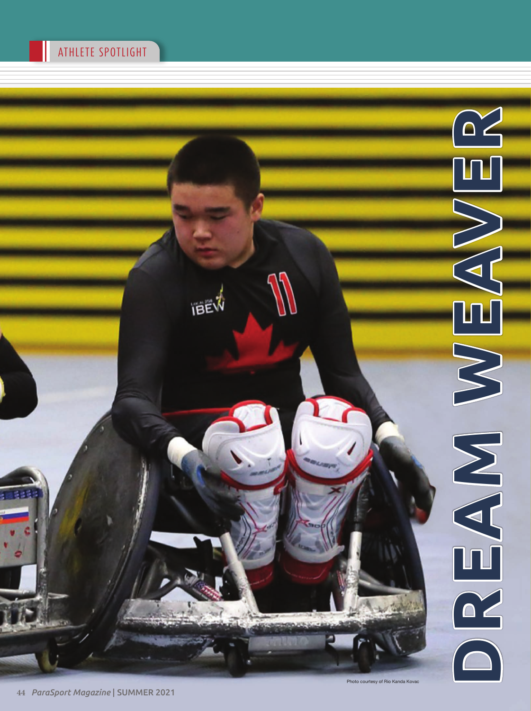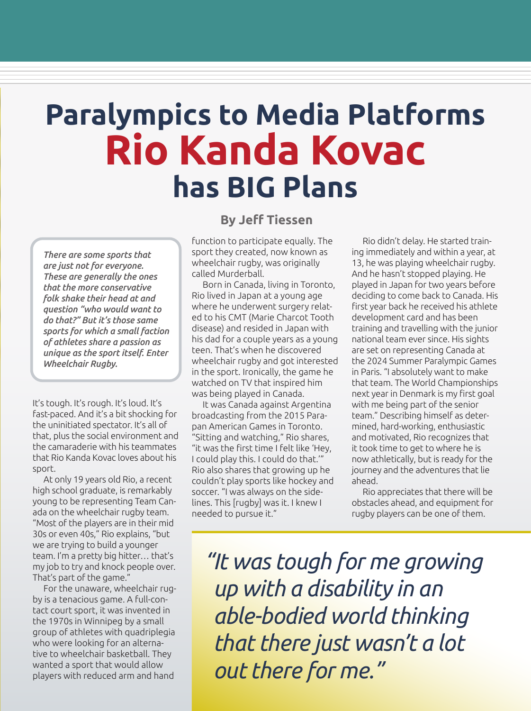## **Paralympics to Media Platforms Rio Kanda Kovac has BIG Plans**

*There are some sports that are just not for everyone. These are generally the ones that the more conservative folk shake their head at and question "who would want to do that?" But it's those same sports for which a small faction of athletes share a passion as unique as the sport itself. Enter Wheelchair Rugby.*

It's tough. It's rough. It's loud. It's fast-paced. And it's a bit shocking for the uninitiated spectator. It's all of that, plus the social environment and the camaraderie with his teammates that Rio Kanda Kovac loves about his sport.

At only 19 years old Rio, a recent high school graduate, is remarkably young to be representing Team Canada on the wheelchair rugby team. "Most of the players are in their mid 30s or even 40s," Rio explains, "but we are trying to build a younger team. I'm a pretty big hitter… that's my job to try and knock people over. That's part of the game."

For the unaware, wheelchair rugby is a tenacious game. A full-contact court sport, it was invented in the 1970s in Winnipeg by a small group of athletes with quadriplegia who were looking for an alternative to wheelchair basketball. They wanted a sport that would allow players with reduced arm and hand

## **By Jeff Tiessen**

function to participate equally. The sport they created, now known as wheelchair rugby, was originally called Murderball.

Born in Canada, living in Toronto, Rio lived in Japan at a young age where he underwent surgery related to his CMT (Marie Charcot Tooth disease) and resided in Japan with his dad for a couple years as a young teen. That's when he discovered wheelchair rugby and got interested in the sport. Ironically, the game he watched on TV that inspired him was being played in Canada.

It was Canada against Argentina broadcasting from the 2015 Parapan American Games in Toronto. "Sitting and watching," Rio shares, "it was the first time I felt like 'Hey, I could play this. I could do that.'" Rio also shares that growing up he couldn't play sports like hockey and soccer. "I was always on the sidelines. This [rugby] was it. I knew I needed to pursue it."

Rio didn't delay. He started training immediately and within a year, at 13, he was playing wheelchair rugby. And he hasn't stopped playing. He played in Japan for two years before deciding to come back to Canada. His first year back he received his athlete development card and has been training and travelling with the junior national team ever since. His sights are set on representing Canada at the 2024 Summer Paralympic Games in Paris. "I absolutely want to make that team. The World Championships next year in Denmark is my first goal with me being part of the senior team." Describing himself as determined, hard-working, enthusiastic and motivated, Rio recognizes that it took time to get to where he is now athletically, but is ready for the journey and the adventures that lie ahead.

Rio appreciates that there will be obstacles ahead, and equipment for rugby players can be one of them.

*"It was tough for me growing up with a disability in an able-bodied world thinking that there just wasn't a lot out there for me."*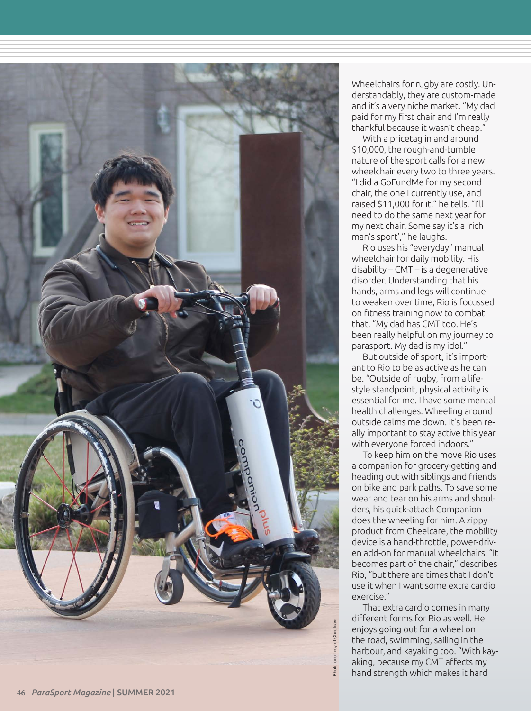

Wheelchairs for rugby are costly. Un derstandably, they are custom-made and it's a very niche market. "My dad paid for my first chair and I'm really thankful because it wasn't cheap."

With a pricetag in and around \$10,000, the rough-and-tumble nature of the sport calls for a new wheelchair every two to three years. "I did a GoFundMe for my second chair, the one I currently use, and raised \$11,000 for it," he tells. "I'll need to do the same next year for my next chair. Some say it's a 'rich man's sport'," he laughs.

Rio uses his "everyday" manual wheelchair for daily mobility. His disability – CMT – is a degenerative disorder. Understanding that his hands, arms and legs will continue to weaken over time, Rio is focussed on fitness training now to combat that. "My dad has CMT too. He's been really helpful on my journey to parasport. My dad is my idol."

But outside of sport, it's import ant to Rio to be as active as he can be. "Outside of rugby, from a life style standpoint, physical activity is essential for me. I have some mental health challenges. Wheeling around outside calms me down. It's been re ally important to stay active this year with everyone forced indoors."

To keep him on the move Rio uses a companion for grocery-getting and heading out with siblings and friends on bike and park paths. To save some wear and tear on his arms and shoul ders, his quick-attach Companion does the wheeling for him. A zippy product from Cheelcare, the mobility device is a hand-throttle, power-driv en add-on for manual wheelchairs. "It becomes part of the chair," describes Rio, "but there are times that I don't use it when I want some extra cardio exercise."

That extra cardio comes in many different forms for Rio as well. He enjoys going out for a wheel on the road, swimming, sailing in the harbour, and kayaking too. "With kay aking, because my CMT affects my hand strength which makes it hard